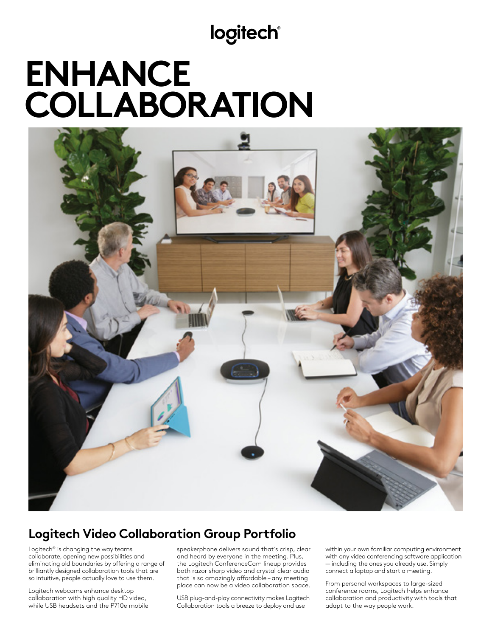**logitech®** 

# **ENHANCE COLLABORATION**



## **Logitech Video Collaboration Group Portfolio**

Logitech® is changing the way teams collaborate, opening new possibilities and eliminating old boundaries by offering a range of brilliantly designed collaboration tools that are so intuitive, people actually love to use them.

Logitech webcams enhance desktop collaboration with high quality HD video, while USB headsets and the P710e mobile speakerphone delivers sound that's crisp, clear and heard by everyone in the meeting. Plus, the Logitech ConferenceCam lineup provides both razor sharp video and crystal clear audio that is so amazingly affordable – any meeting place can now be a video collaboration space.

USB plug-and-play connectivity makes Logitech Collaboration tools a breeze to deploy and use

within your own familiar computing environment with any video conferencing software application — including the ones you already use. Simply connect a laptop and start a meeting.

From personal workspaces to large-sized conference rooms, Logitech helps enhance collaboration and productivity with tools that adapt to the way people work.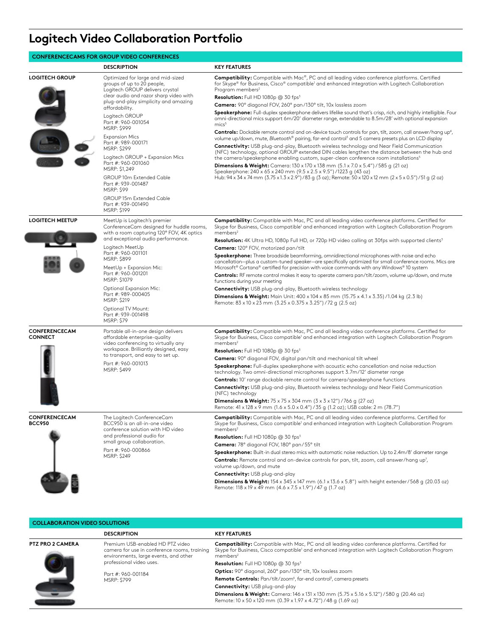# **Logitech Video Collaboration Portfolio**

#### **CONFERENCECAMS FOR GROUP VIDEO CONFERENCES**

|                                        | <b>DESCRIPTION</b>                                                                                                                                                                                                                                                                                                                                                                                                                                                                                                                                   | <b>KEY FEATURES</b>                                                                                                                                                                                                                                                                                                                                                                                                                                                                                                                                                                                                                                                                                                                                                                                                                                                                                                                                                                                                                                                                                                                                                                                                                                                                                                                                                                                                                                                                                                     |
|----------------------------------------|------------------------------------------------------------------------------------------------------------------------------------------------------------------------------------------------------------------------------------------------------------------------------------------------------------------------------------------------------------------------------------------------------------------------------------------------------------------------------------------------------------------------------------------------------|-------------------------------------------------------------------------------------------------------------------------------------------------------------------------------------------------------------------------------------------------------------------------------------------------------------------------------------------------------------------------------------------------------------------------------------------------------------------------------------------------------------------------------------------------------------------------------------------------------------------------------------------------------------------------------------------------------------------------------------------------------------------------------------------------------------------------------------------------------------------------------------------------------------------------------------------------------------------------------------------------------------------------------------------------------------------------------------------------------------------------------------------------------------------------------------------------------------------------------------------------------------------------------------------------------------------------------------------------------------------------------------------------------------------------------------------------------------------------------------------------------------------------|
| <b>LOGITECH GROUP</b>                  | Optimized for large and mid-sized<br>groups of up to 20 people,<br>Logitech GROUP delivers crystal<br>clear audio and razor sharp video with<br>plug-and-play simplicity and amazing<br>affordability.<br>Logitech GROUP<br>Part #: 960-001054<br>MSRP: \$999<br><b>Expansion Mics</b><br>Part #: 989-000171<br><b>MSRP: \$299</b><br>Logitech GROUP + Expansion Mics<br>Part #: 960-001060<br>MSRP: \$1,249<br>GROUP 10m Extended Cable<br>Part #: 939-001487<br><b>MSRP: \$99</b><br>GROUP 15m Extended Cable<br>Part #: 939-001490<br>MSRP: \$199 | Compatibility: Compatible with Mac®, PC and all leading video conference platforms. Certified<br>for Skype® for Business, Cisco® compatible <sup>1</sup> and enhanced integration with Logitech Collaboration<br>Program members <sup>2</sup><br><b>Resolution:</b> Full HD 1080p $@$ 30 fps <sup>3</sup><br>Camera: 90° diagonal FOV, 260° pan/130° tilt, 10x lossless zoom<br>Speakerphone: Full-duplex speakerphone delivers lifelike sound that's crisp, rich, and highly intelligible. Four<br>omni-directional mics support 6m/20' diameter range, extendable to 8.5m/28' with optional expansion<br>mics <sup>5</sup><br><b>Controls:</b> Dockable remote control and on-device touch controls for pan, tilt, zoom, call answer/hang up <sup>4</sup> ,<br>volume up/down, mute, Bluetooth® pairing, far-end control <sup>3</sup> and 5 camera presets plus an LCD display<br><b>Connectivity:</b> USB plug-and-play, Bluetooth wireless technology and Near Field Communication<br>(NFC) technology, optional GROUP extended DIN cables lengthen the distance between the hub and<br>the camera/speakerphone enabling custom, super-clean conference room installations <sup>5</sup><br><b>Dimensions &amp; Weight:</b> Camera: $130 \times 170 \times 138$ mm $(5.1 \times 7.0 \times 5.4'') / 585$ g $(21 \text{ oz})$<br>Speakerphone: 240 x 65 x 240 mm (9.5 x 2.5 x 9.5") / 1223 q (43 oz)<br>Hub: 94 x 34 x 74 mm (3.75 x 1.3 x 2.9") / 83 g (3 oz); Remote: 50 x 120 x 12 mm (2 x 5 x 0.5") / 51 g (2 oz) |
| <b>LOGITECH MEETUP</b>                 | MeetUp is Logitech's premier<br>ConferenceCam designed for huddle rooms,<br>with a room capturing 120° FOV, 4K optics<br>and exceptional audio performance.<br>Logitech MeetUp<br>Part #: 960-001101<br>MSRP: \$899<br>MeetUp + Expansion Mic:<br>Part #: 960-001201<br>MSRP: \$1079<br>Optional Expansion Mic:<br>Part #: 989-000405<br>MSRP: \$219<br>Optional TV Mount:<br>Part #: 939-001498<br><b>MSRP: \$79</b>                                                                                                                                | <b>Compatibility:</b> Compatible with Mac, PC and all leading video conference platforms. Certified for<br>Skype for Business, Cisco compatible <sup>1</sup> and enhanced integration with Logitech Collaboration Program<br>members <sup>2</sup><br>Resolution: 4K Ultra HD, 1080p Full HD, or 720p HD video calling at 30fps with supported clients <sup>3</sup><br><b>Camera:</b> 120° FOV, motorized pan/tilt<br><b>Speakerphone:</b> Three broadside beamforming, omnidirectional microphones with noise and echo<br>cancellation-plus a custom-tuned speaker-are specifically optimized for small conference rooms. Mics are<br>Microsoft® Cortana® certified for precision with voice commands with any Windows® 10 system<br><b>Controls:</b> RF remote control makes it easy to operate camera pan/tilt/zoom, volume up/down, and mute<br>functions during your meeting<br><b>Connectivity:</b> USB plug-and-play, Bluetooth wireless technology<br><b>Dimensions &amp; Weight:</b> Main Unit: 400 x 104 x 85 mm (15.75 x 4.1 x 3.35) /1.04 kg (2.3 lb)<br>Remote: 83 x 10 x 23 mm (3.25 x 0.375 x 3.25") / 72 g (2.5 oz)                                                                                                                                                                                                                                                                                                                                                                                      |
| <b>CONFERENCECAM</b><br><b>CONNECT</b> | Portable all-in-one design delivers<br>affordable enterprise-quality<br>video conferencing to virtually any<br>workspace. Brilliantly designed, easy<br>to transport, and easy to set up.<br>Part #: 960-001013<br>MSRP: \$499                                                                                                                                                                                                                                                                                                                       | <b>Compatibility:</b> Compatible with Mac, PC and all leading video conference platforms. Certified for<br>Skype for Business, Cisco compatible <sup>1</sup> and enhanced integration with Logitech Collaboration Program<br>members <sup>2</sup><br><b>Resolution:</b> Full HD 1080p $@$ 30 fps <sup>3</sup><br>Camera: 90° diagonal FOV, digital pan/tilt and mechanical tilt wheel<br>Speakerphone: Full-duplex speakerphone with acoustic echo cancellation and noise reduction<br>technology. Two omni-directional microphones support 3.7m/12' diameter range<br><b>Controls:</b> 10' range dockable remote control for camera/speakerphone functions<br><b>Connectivity:</b> USB plug-and-play, Bluetooth wireless technology and Near Field Communication<br>(NFC) technology<br><b>Dimensions &amp; Weight:</b> $75 \times 75 \times 304$ mm $(3 \times 3 \times 12'')$ / 766 g (27 oz)<br>Remote: 41 x 128 x 9 mm (1.6 x 5.0 x 0.4") / 35 g (1.2 oz); USB cable: 2 m (78.7")                                                                                                                                                                                                                                                                                                                                                                                                                                                                                                                                  |
| <b>CONFERENCECAM</b><br><b>BCC950</b>  | The Logitech ConferenceCam<br>BCC950 is an all-in-one video<br>conference solution with HD video<br>and professional audio for<br>small group collaboration.<br>Part #: 960-000866<br><b>MSRP: \$249</b>                                                                                                                                                                                                                                                                                                                                             | Compatibility: Compatible with Mac, PC and all leading video conference platforms. Certified for<br>Skype for Business, Cisco compatible <sup>1</sup> and enhanced integration with Logitech Collaboration Program<br>members <sup>2</sup><br><b>Resolution:</b> Full HD 1080p $@$ 30 fps <sup>3</sup><br>Camera: 78° diagonal FOV, 180° pan/55° tilt<br><b>Speakerphone:</b> Built-in dual stereo mics with automatic noise reduction. Up to 2.4m/8' diameter range<br><b>Controls:</b> Remote control and on-device controls for pan, tilt, zoom, call answer/hang up <sup>7</sup> ,<br>volume up/down, and mute<br>Connectivity: USB plug-and-play<br><b>Dimensions &amp; Weight:</b> $154 \times 345 \times 147$ mm (6.1 x 13.6 x 5.8") with height extender/568 g (20.03 oz)<br>Remote: 118 x 19 x 49 mm (4.6 x 7.5 x 1.9") / 47 g (1.7 oz)                                                                                                                                                                                                                                                                                                                                                                                                                                                                                                                                                                                                                                                                        |

### **COLLABORATION VIDEO SOLUTIONS**

|                         | <b>DESCRIPTION</b>                                                                                                                                    | <b>KEY FEATURES</b>                                                                                                                                                                                                                               |
|-------------------------|-------------------------------------------------------------------------------------------------------------------------------------------------------|---------------------------------------------------------------------------------------------------------------------------------------------------------------------------------------------------------------------------------------------------|
| <b>PTZ PRO 2 CAMERA</b> | Premium USB-enabled HD PTZ video<br>camera for use in conference rooms, training<br>environments, large events, and other<br>professional video uses. | <b>Compatibility:</b> Compatible with Mac, PC and all leading video conference platforms. Certified for<br>Skype for Business, Cisco compatible <sup>1</sup> and enhanced integration with Logitech Collaboration Program<br>members <sup>2</sup> |
|                         |                                                                                                                                                       | Resolution: Full HD 1080p @ 30 fps <sup>3</sup>                                                                                                                                                                                                   |
|                         | Part #: 960-001184<br><b>MSRP: \$799</b>                                                                                                              | Optics: 90° diagonal, 260° pan/130° tilt, 10x lossless zoom                                                                                                                                                                                       |
|                         |                                                                                                                                                       | Remote Controls: Pan/tilt/zoom <sup>6</sup> , far-end control <sup>3</sup> , camera presets                                                                                                                                                       |
|                         |                                                                                                                                                       | Connectivity: USB plug-and-play                                                                                                                                                                                                                   |
|                         |                                                                                                                                                       | <b>Dimensions &amp; Weight:</b> Camera: 146 x 131 x 130 mm (5.75 x 5.16 x 5.12") / 580 q (20.46 oz)<br>Remote: 10 x 50 x 120 mm (0.39 x 1.97 x 4.72") / 48 g (1.69 oz)                                                                            |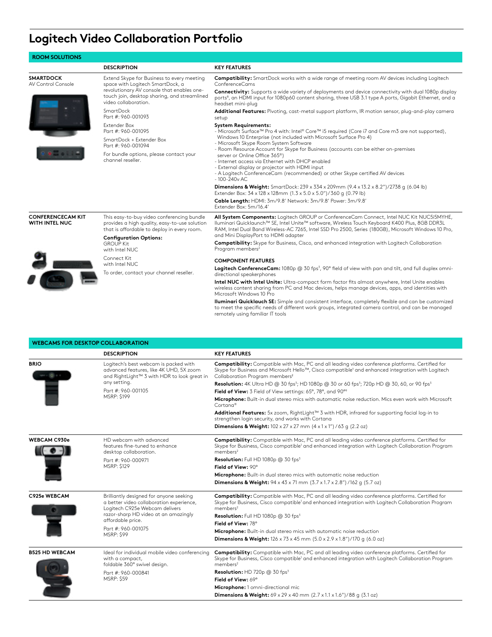# **Logitech Video Collaboration Portfolio**

| <b>ROOM SOLUTIONS</b>                             |                                                                                                                                                                                                      |                                                                                                                                                                                                                                                                                                                                             |
|---------------------------------------------------|------------------------------------------------------------------------------------------------------------------------------------------------------------------------------------------------------|---------------------------------------------------------------------------------------------------------------------------------------------------------------------------------------------------------------------------------------------------------------------------------------------------------------------------------------------|
|                                                   | <b>DESCRIPTION</b>                                                                                                                                                                                   | <b>KEY FEATURES</b>                                                                                                                                                                                                                                                                                                                         |
| <b>SMARTDOCK</b><br>AV Control Console            | Extend Skype for Business to every meeting<br>space with Logitech SmartDock, a<br>revolutionary AV console that enables one-<br>touch join, desktop sharing, and streamlined<br>video collaboration. | <b>Compatibility:</b> SmartDock works with a wide range of meeting room AV devices including Logitech<br>ConferenceCams                                                                                                                                                                                                                     |
|                                                   |                                                                                                                                                                                                      | <b>Connectivity:</b> Supports a wide variety of deployments and device connectivity with dual 1080p display<br>ports <sup>8</sup> , an HDMI input for 1080p60 content sharing, three USB 3.1 type A ports, Gigabit Ethernet, and a<br>headset mini-plug                                                                                     |
|                                                   | SmartDock<br>Part #: 960-001093                                                                                                                                                                      | Additional Features: Pivoting, cast-metal support platform, IR motion sensor, plug-and-play camera<br>setup                                                                                                                                                                                                                                 |
|                                                   | Extender Box<br>Part #: 960-001095                                                                                                                                                                   | <b>System Requirements:</b><br>- Microsoft Surface™ Pro 4 with: Intel® Core™ i5 required (Core i7 and Core m3 are not supported),                                                                                                                                                                                                           |
|                                                   | SmartDock + Extender Box<br>Part #: 960-001094                                                                                                                                                       | Windows 10 Enterprise (not included with Microsoft Surface Pro 4)<br>- Microsoft Skype Room System Software                                                                                                                                                                                                                                 |
|                                                   | For bundle options, please contact your<br>channel reseller.                                                                                                                                         | - Room Resource Account for Skype for Business (accounts can be either on-premises<br>server or Online Office 365 <sup>®</sup> )<br>- Internet access via Ethernet with DHCP enabled<br>- External display or projector with HDMI input<br>- A Logitech ConferenceCam (recommended) or other Skype certified AV devices<br>$-100 - 240v$ AC |
|                                                   |                                                                                                                                                                                                      | <b>Dimensions &amp; Weight:</b> SmartDock: 239 x 334 x 209mm $(9.4 \times 13.2 \times 8.2'')/2738$ q $(6.04 \text{ lb})$<br>Extender Box: 34 x 128 x 128mm (1.3 x 5.0 x 5.0")/360 g (0.79 lb)                                                                                                                                               |
|                                                   |                                                                                                                                                                                                      | Cable Length: HDMI: 3m/9.8' Network: 3m/9.8' Power: 3m/9.8'<br>Extender Box: 5m/16.4'                                                                                                                                                                                                                                                       |
| <b>CONFERENCECAM KIT</b><br><b>WITH INTEL NUC</b> | This easy-to-buy video conferencing bundle<br>provides a high quality, easy-to-use solution<br>that is affordable to deploy in every room.                                                           | All System Components: Logitech GROUP or ConferenceCam Connect, Intel NUC Kit NUC5i5MYHE,<br>Iluminari Quicklaunch™ SE, Intel Unite™ software, Wireless Touch Keyboard K400 Plus, 8GB DDR3L<br>RAM, Intel Dual Band Wireless-AC 7265, Intel SSD Pro 2500, Series (180GB), Microsoft Windows 10 Pro,                                         |
|                                                   | <b>Configuration Options:</b><br><b>GROUP Kit</b><br>with Intel NUC                                                                                                                                  | and Mini DisplayPort to HDMI adapter<br><b>Compatibility:</b> Skype for Business, Cisco, and enhanced integration with Logitech Collaboration<br>Program members <sup>2</sup>                                                                                                                                                               |
|                                                   | Connect Kit<br>with Intel NUC                                                                                                                                                                        | <b>COMPONENT FEATURES</b>                                                                                                                                                                                                                                                                                                                   |
|                                                   | To order, contact your channel reseller.                                                                                                                                                             | Logitech ConferenceCam: 1080p @ 30 fps <sup>3</sup> , 90° field of view with pan and tilt, and full duplex omni-<br>directional speakerphones                                                                                                                                                                                               |
|                                                   |                                                                                                                                                                                                      | Intel NUC with Intel Unite: Ultra-compact form factor fits almost anywhere, Intel Unite enables<br>wireless content sharing from PC and Mac devices, helps manage devices, apps, and identities with<br>Microsoft Windows 10 Pro                                                                                                            |
|                                                   |                                                                                                                                                                                                      | Iluminari Quicklauch SE: Simple and consistent interface, completely flexible and can be customized<br>to meet the specific needs of different work groups, integrated camera control, and can be managed<br>remotely using familiar IT tools                                                                                               |

### **WEBCAMS FOR DESKTOP COLLABORATION**

|                       | יוטוואוטמגנט וטוגוטו שנא ווא האפ                                                                                                                                                            |                                                                                                                                                                                                                                                     |
|-----------------------|---------------------------------------------------------------------------------------------------------------------------------------------------------------------------------------------|-----------------------------------------------------------------------------------------------------------------------------------------------------------------------------------------------------------------------------------------------------|
|                       | <b>DESCRIPTION</b>                                                                                                                                                                          | <b>KEY FEATURES</b>                                                                                                                                                                                                                                 |
| <b>BRIO</b>           | Logitech's best webcam is packed with<br>advanced features, like 4K UHD, 5X zoom<br>and RightLight™ 3 with HDR to look great in<br>any setting.<br>Part #: 960-001105<br><b>MSRP: \$199</b> | Compatibility: Compatible with Mac, PC and all leading video conference platforms. Certified for<br>Skype for Business and Microsoft Hello™, Cisco compatible' and enhanced integration with Logitech<br>Collaboration Program members <sup>2</sup> |
|                       |                                                                                                                                                                                             | <b>Resolution:</b> 4K Ultra HD @ 30 fps <sup>3</sup> ; HD 1080p @ 30 or 60 fps <sup>3</sup> ; 720p HD @ 30, 60, or 90 fps <sup>3</sup>                                                                                                              |
|                       |                                                                                                                                                                                             | Field of View: 3 Field of View settings: 65°, 78°, and 90°°                                                                                                                                                                                         |
|                       |                                                                                                                                                                                             | Microphone: Built-in dual stereo mics with automatic noise reduction. Mics even work with Microsoft<br>Cortana®                                                                                                                                     |
|                       |                                                                                                                                                                                             | Additional Features: 5x zoom, RightLight <sup>™</sup> 3 with HDR, infrared for supporting facial log-in to<br>strengthen login security, and works with Cortana                                                                                     |
|                       |                                                                                                                                                                                             | <b>Dimensions &amp; Weight:</b> $102 \times 27 \times 27$ mm $(4 \times 1 \times 1'') / 63$ q $(2.2 \text{ oz})$                                                                                                                                    |
| <b>WEBCAM C930e</b>   | HD webcam with advanced<br>features fine-tuned to enhance<br>desktop collaboration.                                                                                                         | <b>Compatibility:</b> Compatible with Mac, PC and all leading video conference platforms. Certified for<br>Skype for Business, Cisco compatible <sup>1</sup> and enhanced integration with Logitech Collaboration Program<br>members <sup>2</sup>   |
|                       | Part #: 960-000971                                                                                                                                                                          | Resolution: Full HD 1080p @ 30 fps <sup>3</sup>                                                                                                                                                                                                     |
|                       | <b>MSRP: \$129</b>                                                                                                                                                                          | Field of View: 90°                                                                                                                                                                                                                                  |
|                       |                                                                                                                                                                                             | Microphone: Built-in dual stereo mics with automatic noise reduction                                                                                                                                                                                |
|                       |                                                                                                                                                                                             | <b>Dimensions &amp; Weight:</b> $94 \times 43 \times 71$ mm $(3.7 \times 1.7 \times 2.8'')$ /162 g $(5.7 \text{ oz})$                                                                                                                               |
| C925e WEBCAM          | Brilliantly designed for anyone seeking<br>a better video collaboration experience,<br>Logitech C925e Webcam delivers<br>razor-sharp HD video at an amazingly                               | <b>Compatibility:</b> Compatible with Mac, PC and all leading video conference platforms. Certified for<br>Skype for Business, Cisco compatible <sup>1</sup> and enhanced integration with Logitech Collaboration Program<br>members <sup>2</sup>   |
|                       | affordable price.                                                                                                                                                                           | <b>Resolution:</b> Full HD 1080p $@$ 30 fps <sup>3</sup><br>Field of View: 78°                                                                                                                                                                      |
|                       | Part #: 960-001075                                                                                                                                                                          | Microphone: Built-in dual stereo mics with automatic noise reduction                                                                                                                                                                                |
|                       | <b>MSRP: \$99</b>                                                                                                                                                                           | <b>Dimensions &amp; Weight:</b> $126 \times 73 \times 45$ mm $(5.0 \times 2.9 \times 1.8'')/170$ q $(6.0 \text{ oz})$                                                                                                                               |
|                       |                                                                                                                                                                                             |                                                                                                                                                                                                                                                     |
| <b>B525 HD WEBCAM</b> | Ideal for individual mobile video conferencing<br>with a compact,<br>foldable 360° swivel design.                                                                                           | <b>Compatibility:</b> Compatible with Mac, PC and all leading video conference platforms. Certified for<br>Skype for Business, Cisco compatible <sup>1</sup> and enhanced integration with Logitech Collaboration Program<br>members <sup>2</sup>   |
|                       | Part #: 960-000841                                                                                                                                                                          | <b>Resolution:</b> HD 720p $@$ 30 fps <sup>3</sup>                                                                                                                                                                                                  |
|                       | <b>MSRP: \$59</b>                                                                                                                                                                           | Field of View: 69°                                                                                                                                                                                                                                  |
|                       |                                                                                                                                                                                             | Microphone: 1 omni-directional mic                                                                                                                                                                                                                  |
|                       |                                                                                                                                                                                             | <b>Dimensions &amp; Weight:</b> $69 \times 29 \times 40$ mm $(2.7 \times 1.1 \times 1.6'')/88$ q $(3.1 oz)$                                                                                                                                         |